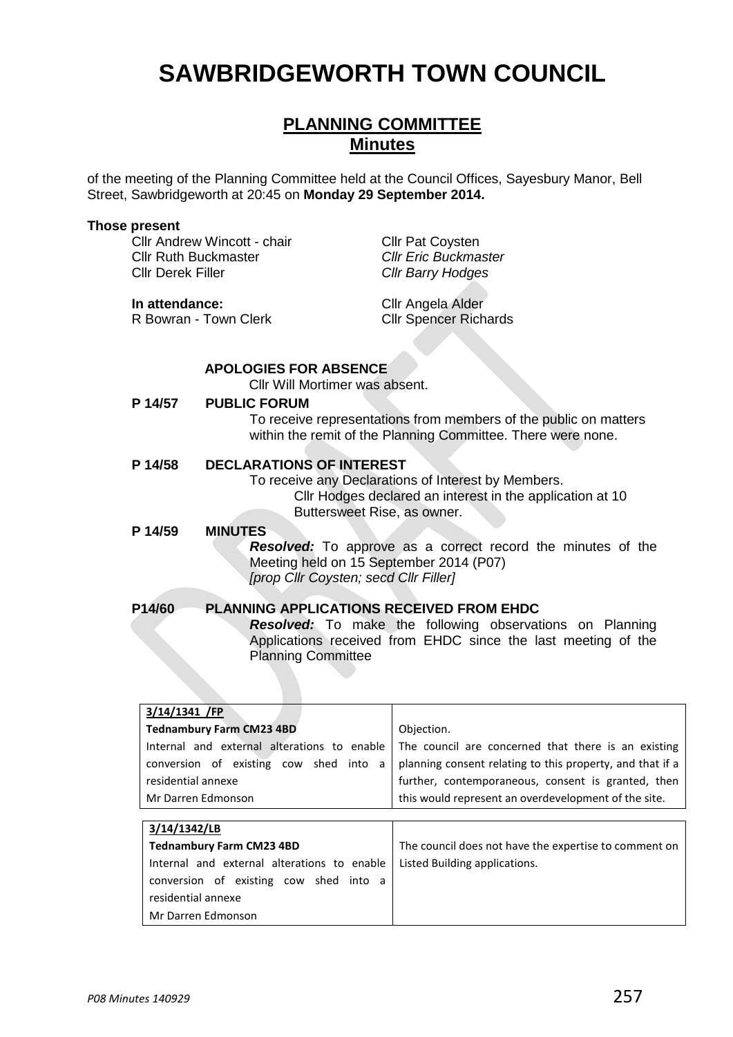# **SAWBRIDGEWORTH TOWN COUNCIL**

# **PLANNING COMMITTEE Minutes**

of the meeting of the Planning Committee held at the Council Offices, Sayesbury Manor, Bell Street, Sawbridgeworth at 20:45 on **Monday 29 September 2014.**

#### **Those present**

Cllr Andrew Wincott - chair Cllr Pat Coysten Cllr Ruth Buckmaster *Cllr Eric Buckmaster* Cllr Derek Filler *Cllr Barry Hodges*

R Bowran - Town Clerk

**In attendance:** Cllr Angela Alder<br>
R Bowran - Town Clerk<br>
Cllr Spencer Richards

#### **APOLOGIES FOR ABSENCE**

Cllr Will Mortimer was absent.

#### **P 14/57 PUBLIC FORUM**

To receive representations from members of the public on matters within the remit of the Planning Committee. There were none.

#### **P 14/58 DECLARATIONS OF INTEREST**

To receive any Declarations of Interest by Members. Cllr Hodges declared an interest in the application at 10 Buttersweet Rise, as owner.

#### **P 14/59 MINUTES**

*Resolved:* To approve as a correct record the minutes of the Meeting held on 15 September 2014 (P07) *[prop Cllr Coysten; secd Cllr Filler]*

### **P14/60 PLANNING APPLICATIONS RECEIVED FROM EHDC**

*Resolved:* To make the following observations on Planning Applications received from EHDC since the last meeting of the Planning Committee

| 3/14/1341 /FP                          |                                                                                                   |
|----------------------------------------|---------------------------------------------------------------------------------------------------|
| <b>Tednambury Farm CM23 4BD</b>        | Objection.                                                                                        |
|                                        | Internal and external alterations to enable   The council are concerned that there is an existing |
| conversion of existing cow shed into a | planning consent relating to this property, and that if a                                         |
| residential annexe                     | further, contemporaneous, consent is granted, then                                                |
| Mr Darren Edmonson                     | this would represent an overdevelopment of the site.                                              |
|                                        |                                                                                                   |
| 3/4/43/3/1B                            |                                                                                                   |

| 3/14/1342/LB                                |                                                       |
|---------------------------------------------|-------------------------------------------------------|
| <b>Tednambury Farm CM23 4BD</b>             | The council does not have the expertise to comment on |
| Internal and external alterations to enable | Listed Building applications.                         |
| conversion of existing cow shed into a      |                                                       |
| residential annexe                          |                                                       |
| Mr Darren Edmonson                          |                                                       |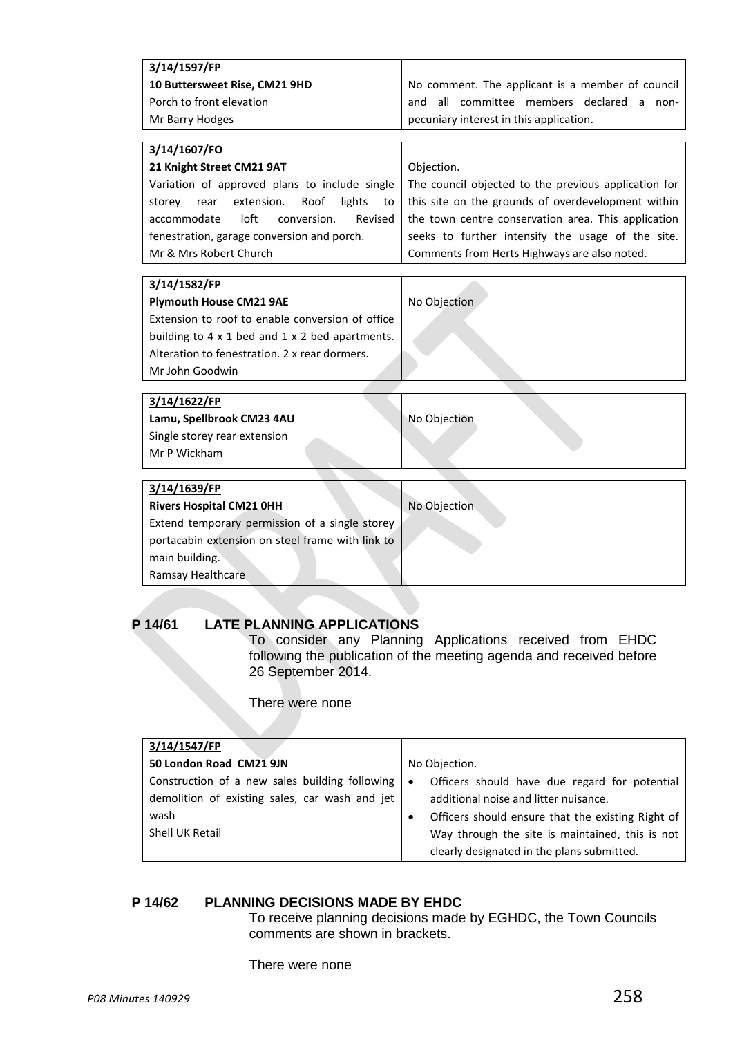| 3/14/1597/FP                                                  |                                                      |
|---------------------------------------------------------------|------------------------------------------------------|
|                                                               |                                                      |
| 10 Buttersweet Rise, CM21 9HD                                 | No comment. The applicant is a member of council     |
| Porch to front elevation                                      | committee members declared a non-<br>all<br>and      |
| Mr Barry Hodges                                               | pecuniary interest in this application.              |
|                                                               |                                                      |
| 3/14/1607/FO                                                  |                                                      |
| 21 Knight Street CM21 9AT                                     | Objection.                                           |
| Variation of approved plans to include single                 | The council objected to the previous application for |
| extension.<br>Roof<br>lights<br>storey<br>rear<br>to          | this site on the grounds of overdevelopment within   |
| accommodate<br>$I$ oft<br>conversion.<br>Revised              | the town centre conservation area. This application  |
| fenestration, garage conversion and porch.                    | seeks to further intensify the usage of the site.    |
| Mr & Mrs Robert Church                                        | Comments from Herts Highways are also noted.         |
|                                                               |                                                      |
| 3/14/1582/FP                                                  |                                                      |
| <b>Plymouth House CM21 9AE</b>                                | No Objection                                         |
| Extension to roof to enable conversion of office              |                                                      |
| building to $4 \times 1$ bed and $1 \times 2$ bed apartments. |                                                      |
| Alteration to fenestration. 2 x rear dormers.                 |                                                      |
| Mr John Goodwin                                               |                                                      |
|                                                               |                                                      |
| 3/14/1622/FP                                                  |                                                      |
| Lamu, Spellbrook CM23 4AU                                     | No Objection                                         |
| Single storey rear extension                                  |                                                      |
| Mr P Wickham                                                  |                                                      |
|                                                               |                                                      |
| 3/14/1639/FP                                                  |                                                      |
| <b>Rivers Hospital CM21 0HH</b>                               | No Objection                                         |
| Extend temporary permission of a single storey                |                                                      |
| portacabin extension on steel frame with link to              |                                                      |
| main building.                                                |                                                      |
| Ramsay Healthcare                                             |                                                      |
|                                                               |                                                      |
|                                                               |                                                      |

## **P 14/61 LATE PLANNING APPLICATIONS**

To consider any Planning Applications received from EHDC following the publication of the meeting agenda and received before 26 September 2014.

There were none

| 3/14/1547/FP                                                                                                                |                                                                                                                                                                                                                                              |
|-----------------------------------------------------------------------------------------------------------------------------|----------------------------------------------------------------------------------------------------------------------------------------------------------------------------------------------------------------------------------------------|
| 50 London Road CM21 9JN                                                                                                     | No Objection.                                                                                                                                                                                                                                |
| Construction of a new sales building following<br>demolition of existing sales, car wash and jet<br>wash<br>Shell UK Retail | Officers should have due regard for potential<br>additional noise and litter nuisance.<br>Officers should ensure that the existing Right of<br>Way through the site is maintained, this is not<br>clearly designated in the plans submitted. |

# **P 14/62 PLANNING DECISIONS MADE BY EHDC**

To receive planning decisions made by EGHDC, the Town Councils comments are shown in brackets.

There were none